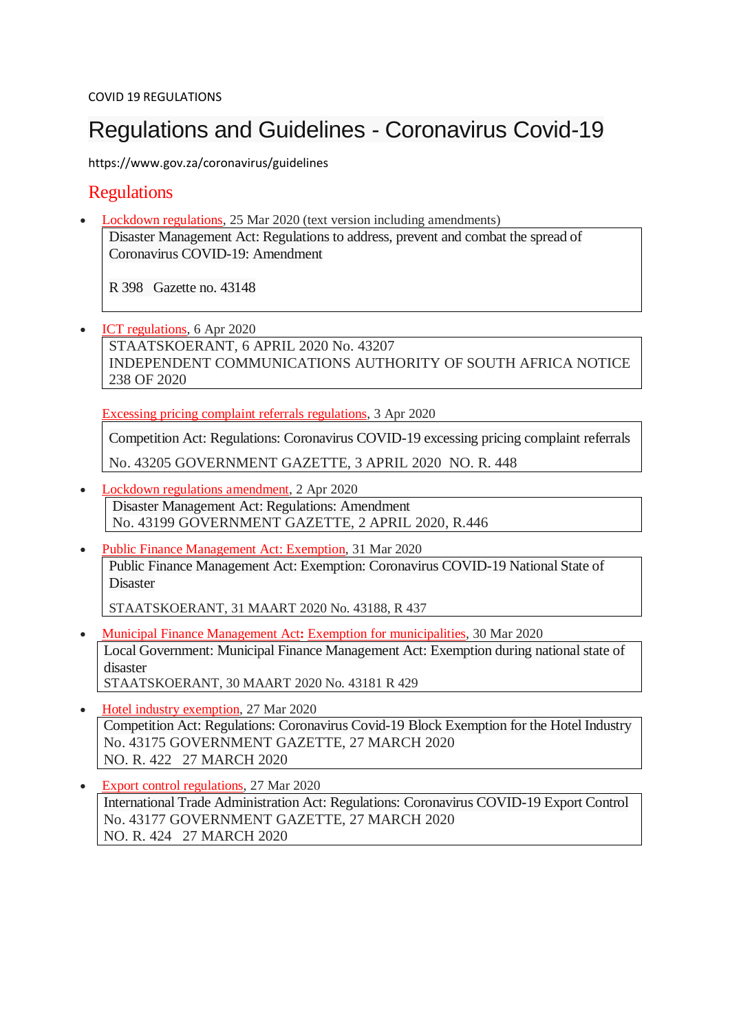# Regulations and Guidelines - Coronavirus Covid-19

https://www.gov.za/coronavirus/guidelines

### **Regulations**

 Lockdown [regulations,](http://www.gov.za/documents/disaster-management-act-regulations-address-prevent-and-combat-spread-coronavirus-covid-19) 25 Mar 2020 (text version including amendments) Disaster Management Act: Regulations to address, prevent and combat the spread of Coronavirus COVID-19: Amendment

R 398 Gazette no. 43148

 ICT [regulations,](https://www.gov.za/documents/independent-communications-authority-south-africa-act-regulations-information-and) 6 Apr 2020 STAATSKOERANT, 6 APRIL 2020 No. 43207 INDEPENDENT COMMUNICATIONS AUTHORITY OF SOUTH AFRICA NOTICE 238 OF 2020

Excessing pricing complaint referrals [regulations,](https://www.gov.za/documents/competition-act-regulations-coronavirus-covid-19-excessing-pricing-complaint-referrals-3) 3 Apr 2020

Competition Act: Regulations: Coronavirus COVID-19 excessing pricing complaint referrals

No. 43205 GOVERNMENT GAZETTE, 3 APRIL 2020 NO. R. 448

- Lockdown regulations [amendment,](https://www.gov.za/documents/disaster-management-act-regulations-amendment-2-apr-2020-0000) 2 Apr 2020 Disaster Management Act: Regulations: Amendment No. 43199 GOVERNMENT GAZETTE, 2 APRIL 2020, R.446
- Public Finance [Management](https://www.gov.za/documents/public-finance-management-act-exemption-coronavirus-covid-19-national-state-disaster-31) Act: Exemption, 31 Mar 2020 Public Finance Management Act: Exemption: Coronavirus COVID-19 National State of Disaster

STAATSKOERANT, 31 MAART 2020 No. 43188, R 437

- **Municipal Finance [Management](https://www.gov.za/documents/municipal-finance-management-act-local-government-exemption-act-and-regulations-30-mar) Act: Exemption for [municipalities,](https://www.gov.za/documents/municipal-finance-management-act-local-government-exemption-act-and-regulations-30-mar) 30 Mar 2020** Local Government: Municipal Finance Management Act: Exemption during national state of disaster STAATSKOERANT, 30 MAART 2020 No. 43181 R 429
- Hotel industry [exemption,](https://www.gov.za/documents/competition-act-regulations-coronavirus-covid-19-block-exemption-hotel-industry-27-mar) 27 Mar 2020 Competition Act: Regulations: Coronavirus Covid-19 Block Exemption for the Hotel Industry No. 43175 GOVERNMENT GAZETTE, 27 MARCH 2020 NO. R. 422 27 MARCH 2020
- Export control [regulations,](https://www.gov.za/documents/international-trade-administration-act-regulations-coronavirus-covid-19-export-control-27) 27 Mar 2020 International Trade Administration Act: Regulations: Coronavirus COVID-19 Export Control No. 43177 GOVERNMENT GAZETTE, 27 MARCH 2020 NO. R. 424 27 MARCH 2020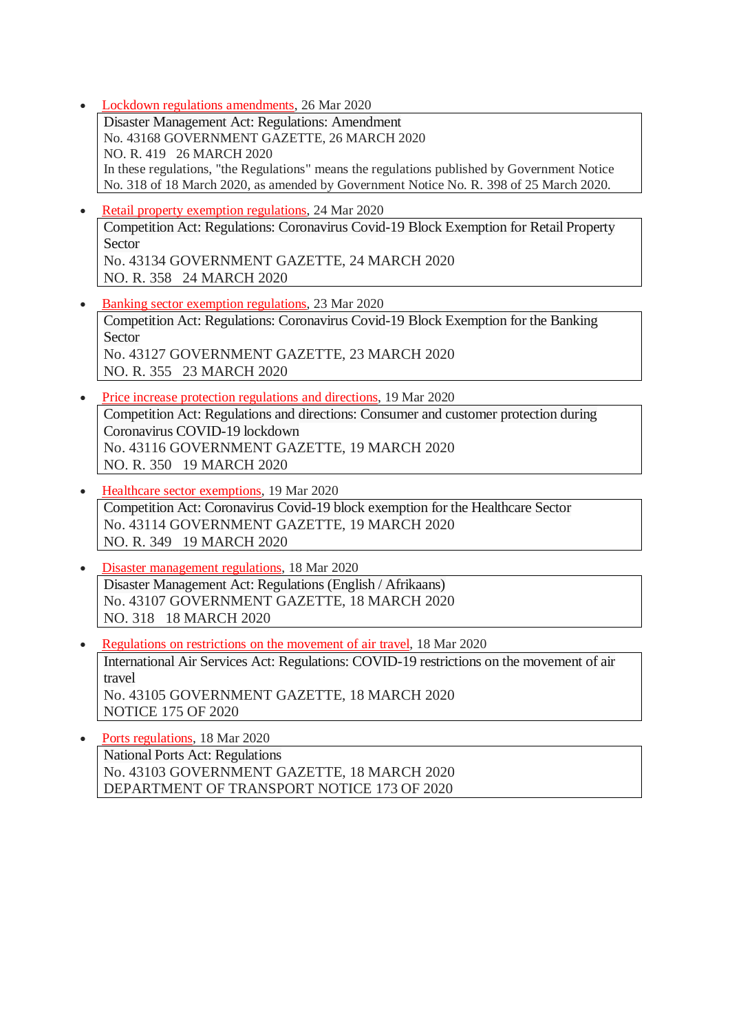• Lockdown regulations [amendments,](https://www.gov.za/documents/disaster-management-act-amendment-regulations-26-mar-2020-0000) 26 Mar 2020

Disaster Management Act: Regulations: Amendment No. 43168 GOVERNMENT GAZETTE, 26 MARCH 2020 NO. R. 419 26 MARCH 2020 In these regulations, "the Regulations" means the regulations published by Government Notice No. 318 of 18 March 2020, as amended by Government Notice No. R. 398 of 25 March 2020.

- Retail property exemption [regulations,](http://www.gov.za/documents/competition-act-coronavirus-covid-19-block-exemption-retail-property-sector-24-mar-2020) 24 Mar 2020 Competition Act: Regulations: Coronavirus Covid-19 Block Exemption for Retail Property Sector No. 43134 GOVERNMENT GAZETTE, 24 MARCH 2020 NO. R. 358 24 MARCH 2020
- Banking sector exemption [regulations,](http://www.gov.za/documents/competition-act-coronavirus-covid-19-block-exemption-banking-sector-23-mar-2020-0000) 23 Mar 2020 Competition Act: Regulations: Coronavirus Covid-19 Block Exemption for the Banking Sector No. 43127 GOVERNMENT GAZETTE, 23 MARCH 2020 NO. R. 355 23 MARCH 2020
- Price increase protection [regulations](http://www.gov.za/documents/competition-act-regulations-consumer-and-customer-protection-and-national-disaster) and directions, 19 Mar 2020 Competition Act: Regulations and directions: Consumer and customer protection during Coronavirus COVID-19 lockdown No. 43116 GOVERNMENT GAZETTE, 19 MARCH 2020 NO. R. 350 19 MARCH 2020
- Healthcare sector [exemptions,](http://www.gov.za/documents/competition-act-coronavirus-covid-19-block-exemption-healthcare-sector-19-mar-2020-0000) 19 Mar 2020 Competition Act: Coronavirus Covid-19 block exemption for the Healthcare Sector No. 43114 GOVERNMENT GAZETTE, 19 MARCH 2020 NO. R. 349 19 MARCH 2020
- Disaster [management](http://www.gov.za/documents/disaster-management-act-regulations-english-afrikaans-18-mar-2020-0000) regulations, 18 Mar 2020 Disaster Management Act: Regulations (English / Afrikaans) No. 43107 GOVERNMENT GAZETTE, 18 MARCH 2020 NO. 318 18 MARCH 2020
- [Regulations](https://www.gov.za/documents/international-air-services-act-regulations-covid-19-restrictions-movement-air-travel-18) on restrictions on the movement of air travel, 18 Mar 2020 International Air Services Act: Regulations: COVID-19 restrictions on the movement of air travel No. 43105 GOVERNMENT GAZETTE, 18 MARCH 2020 NOTICE 175 OF 2020

• Ports [regulations,](http://www.gov.za/documents/national-ports-act-regulations-18-mar-2020-0000) 18 Mar 2020 National Ports Act: Regulations No. 43103 GOVERNMENT GAZETTE, 18 MARCH 2020 DEPARTMENT OF TRANSPORT NOTICE 173 OF 2020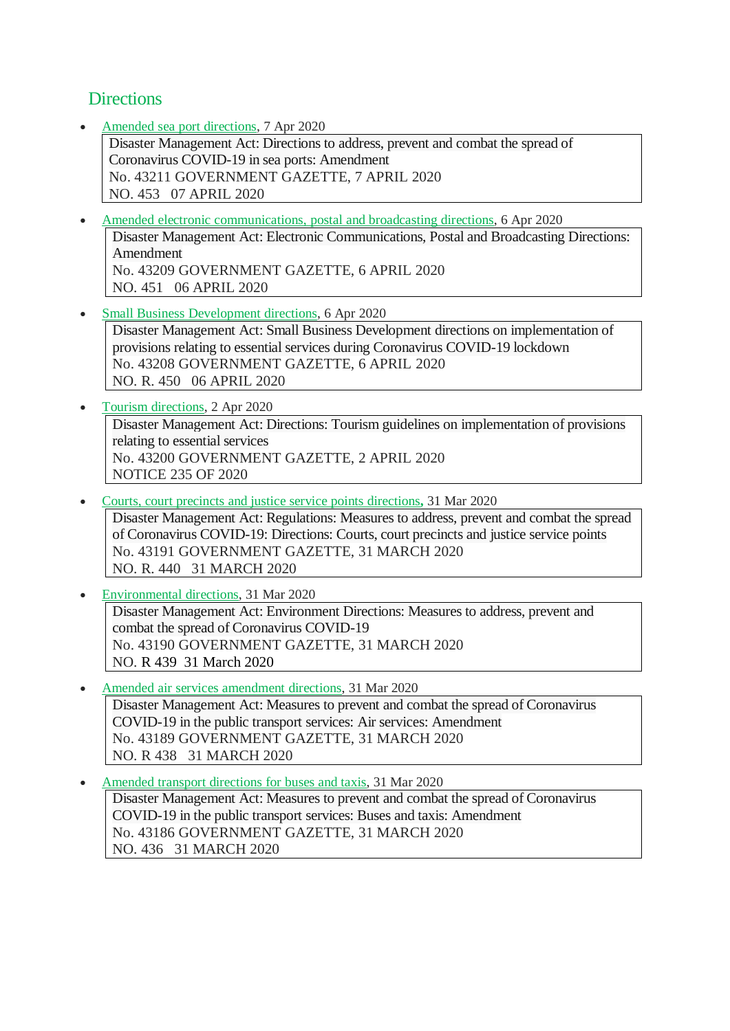## **Directions**

Amended sea port [directions,](https://www.gov.za/documents/disaster-management-act-directions-address-prevent-and-combat-spread-coronavirus-covid-0) 7 Apr 2020

Disaster Management Act: Directions to address, prevent and combat the spread of Coronavirus COVID-19 in sea ports: Amendment No. 43211 GOVERNMENT GAZETTE, 7 APRIL 2020 NO. 453 07 APRIL 2020

- Amended electronic [communications,](https://www.gov.za/documents/disaster-management-act-electronic-communications-postal-and-broadcasting-directions) postal and broadcasting directions, 6 Apr 2020 Disaster Management Act: Electronic Communications, Postal and Broadcasting Directions: Amendment No. 43209 GOVERNMENT GAZETTE, 6 APRIL 2020 NO. 451 06 APRIL 2020
- Small Business [Development](https://www.gov.za/documents/disaster-management-act-small-business-development-implementation-provisions-relating) directions, 6 Apr 2020 Disaster Management Act: Small Business Development directions on implementation of provisions relating to essential services during Coronavirus COVID-19 lockdown No. 43208 GOVERNMENT GAZETTE, 6 APRIL 2020 NO. R. 450 06 APRIL 2020
- Tourism [directions,](https://www.gov.za/documents/disaster-management-act-directions-tourism-guidelines-implementation-provisions-relating) 2 Apr 2020 Disaster Management Act: Directions: Tourism guidelines on implementation of provisions relating to essential services No. 43200 GOVERNMENT GAZETTE, 2 APRIL 2020 NOTICE 235 OF 2020
- Courts, court precincts and justice service points [directions](https://www.gov.za/documents/disaster-management-act-regulations-measures-address-prevent-and-combat-spread-coronavirus)**,** 31 Mar 2020 Disaster Management Act: Regulations: Measures to address, prevent and combat the spread of Coronavirus COVID-19: Directions: Courts, court precincts and justice service points No. 43191 GOVERNMENT GAZETTE, 31 MARCH 2020 NO. R. 440 31 MARCH 2020
- [Environmental](https://www.gov.za/documents/disaster-management-act-environment-directions-measures-address-prevent-and-combat-spread) directions, 31 Mar 2020 Disaster Management Act: Environment Directions: Measures to address, prevent and combat the spread of Coronavirus COVID-19 No. 43190 GOVERNMENT GAZETTE, 31 MARCH 2020 NO. R 439 31 March 2020
- Amended air services [amendment](https://www.gov.za/documents/disaster-management-act-amendment-measures-prevent-and-combat-spread-covid-19-air-services) directions, 31 Mar 2020 Disaster Management Act: Measures to prevent and combat the spread of Coronavirus COVID-19 in the public transport services: Air services: Amendment No. 43189 GOVERNMENT GAZETTE, 31 MARCH 2020 NO. R 438 31 MARCH 2020
- Amended transport [directions](https://www.gov.za/documents/disaster-management-act-amendment-measures-prevent-and-combat-spread-covid-19-public) for buses and taxis, 31 Mar 2020 Disaster Management Act: Measures to prevent and combat the spread of Coronavirus COVID-19 in the public transport services: Buses and taxis: Amendment No. 43186 GOVERNMENT GAZETTE, 31 MARCH 2020 NO. 436 31 MARCH 2020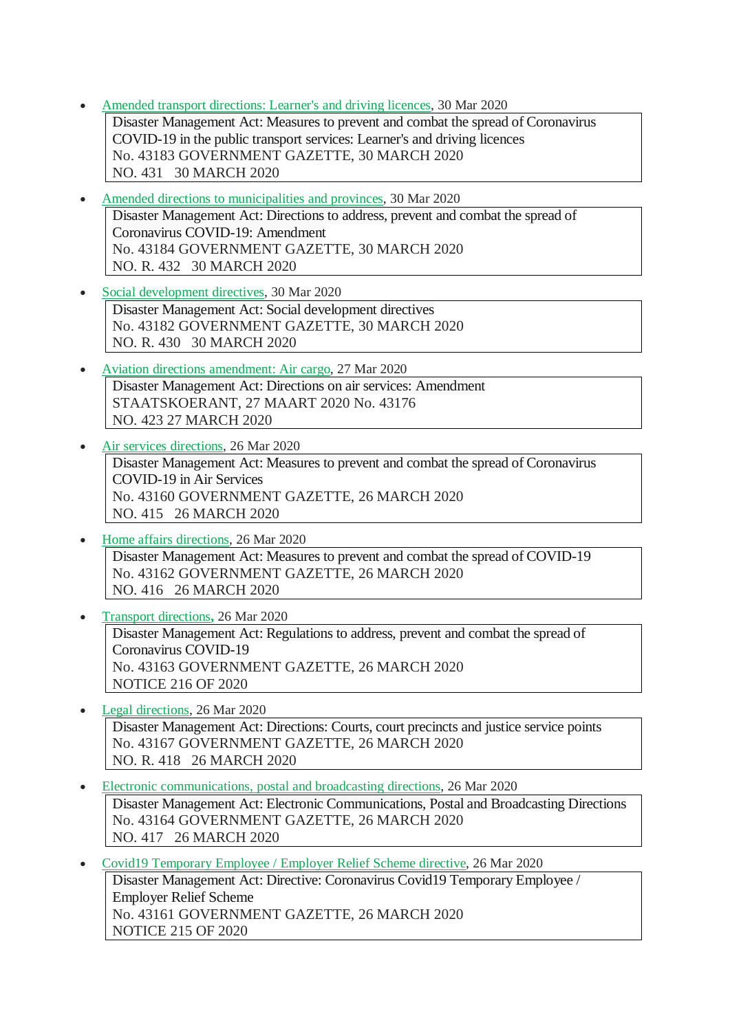- Amended transport [directions:](https://www.gov.za/documents/disaster-management-amendment-directions-30-mar-2020-0000) Learner's and driving licences, 30 Mar 2020 Disaster Management Act: Measures to prevent and combat the spread of Coronavirus COVID-19 in the public transport services: Learner's and driving licences No. 43183 GOVERNMENT GAZETTE, 30 MARCH 2020 NO. 431 30 MARCH 2020
- Amended directions to [municipalities](https://www.gov.za/documents/disaster-management-act-directions-issued-terms-section-27-30-mar-2020-0000) and provinces, 30 Mar 2020 Disaster Management Act: Directions to address, prevent and combat the spread of Coronavirus COVID-19: Amendment No. 43184 GOVERNMENT GAZETTE, 30 MARCH 2020 NO. R. 432 30 MARCH 2020
- Social [development](https://www.gov.za/documents/disaster-management-act-directions-issued-terms-regulation-10-30-mar-2020-0000) directives, 30 Mar 2020 Disaster Management Act: Social development directives No. 43182 GOVERNMENT GAZETTE, 30 MARCH 2020 NO. R. 430 30 MARCH 2020
- Aviation directions [amendment:](https://www.gov.za/documents/disaster-management-act-directives-aviation-transport-amendment-27-mar-2020-0000) Air cargo, 27 Mar 2020 Disaster Management Act: Directions on air services: Amendment STAATSKOERANT, 27 MAART 2020 No. 43176 NO. 423 27 MARCH 2020
- Air services [directions,](https://www.gov.za/documents/disaster-management-act-measures-prevent-and-combat-spread-coronavirus-covid-19-air) 26 Mar 2020 Disaster Management Act: Measures to prevent and combat the spread of Coronavirus COVID-19 in Air Services No. 43160 GOVERNMENT GAZETTE, 26 MARCH 2020 NO. 415 26 MARCH 2020
- Home affairs [directions,](https://www.gov.za/documents/disaster-management-act-measures-prevent-and-combat-spread-covid-19-26-mar-2020-0000) 26 Mar 2020 Disaster Management Act: Measures to prevent and combat the spread of COVID-19 No. 43162 GOVERNMENT GAZETTE, 26 MARCH 2020 NO. 416 26 MARCH 2020
- [Transport](https://www.gov.za/documents/disaster-management-act-regulations-address-prevent-and-combat-spread-coronavirus-covid-0) directions**,** 26 Mar 2020 Disaster Management Act: Regulations to address, prevent and combat the spread of Coronavirus COVID-19 No. 43163 GOVERNMENT GAZETTE, 26 MARCH 2020 NOTICE 216 OF 2020
- Legal [directions,](https://www.gov.za/documents/disaster-management-act-directions-issued-26-mar-2020-0000) 26 Mar 2020 Disaster Management Act: Directions: Courts, court precincts and justice service points No. 43167 GOVERNMENT GAZETTE, 26 MARCH 2020 NO. R. 418 26 MARCH 2020
- Electronic [communications,](https://www.gov.za/documents/disaster-management-act-electronic-communications-postal-and-broadcasting-directions-26) postal and broadcasting directions, 26 Mar 2020 Disaster Management Act: Electronic Communications, Postal and Broadcasting Directions No. 43164 GOVERNMENT GAZETTE, 26 MARCH 2020 NO. 417 26 MARCH 2020
- Covid19 [Temporary](https://www.gov.za/documents/disaster-management-act-directive-coronavirus-covid19-temporary-employee-employer-relief) Employee / Employer Relief Scheme directive, 26 Mar 2020 Disaster Management Act: Directive: Coronavirus Covid19 Temporary Employee / Employer Relief Scheme No. 43161 GOVERNMENT GAZETTE, 26 MARCH 2020 NOTICE 215 OF 2020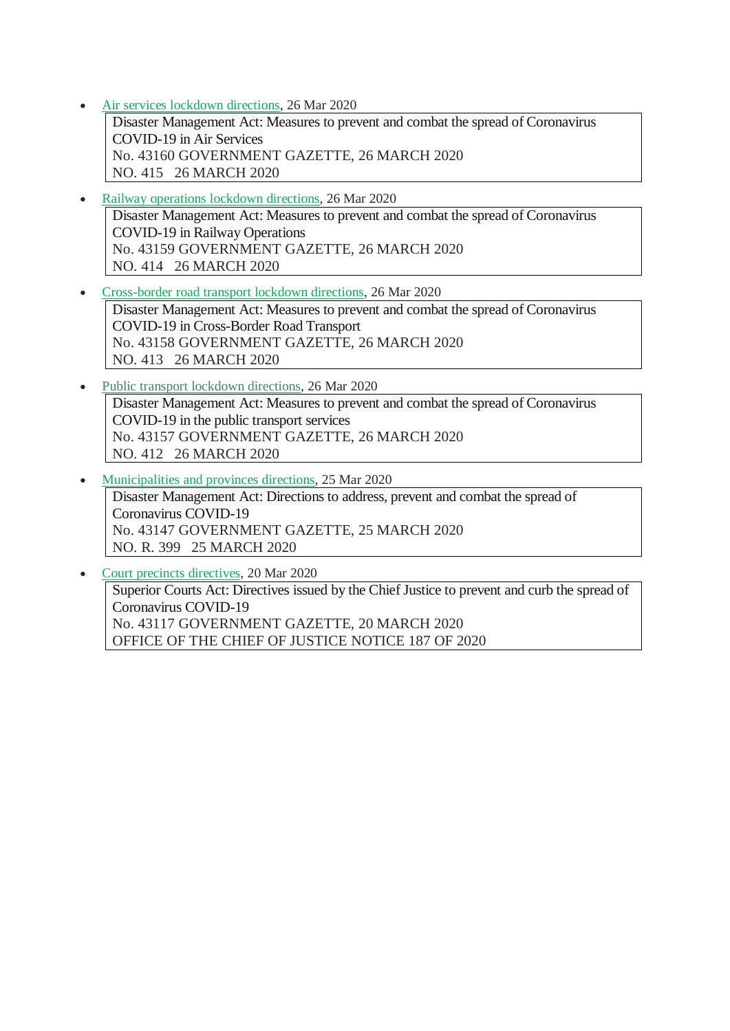Air services lockdown [directions,](https://www.gov.za/documents/disaster-management-act-measures-prevent-and-combat-spread-coronavirus-covid-19-air) 26 Mar 2020

Disaster Management Act: Measures to prevent and combat the spread of Coronavirus COVID-19 in Air Services No. 43160 GOVERNMENT GAZETTE, 26 MARCH 2020 NO. 415 26 MARCH 2020

- Railway [operations](https://www.gov.za/documents/disaster-management-act-measures-prevent-and-combat-spread-coronavirus-covid-19-railway) lockdown directions, 26 Mar 2020 Disaster Management Act: Measures to prevent and combat the spread of Coronavirus COVID-19 in Railway Operations No. 43159 GOVERNMENT GAZETTE, 26 MARCH 2020 NO. 414 26 MARCH 2020
- [Cross-border](https://www.gov.za/documents/disaster-management-act-measures-prevent-and-combat-spread-coronavirus-covid-19-cross) road transport lockdown directions, 26 Mar 2020

Disaster Management Act: Measures to prevent and combat the spread of Coronavirus COVID-19 in Cross-Border Road Transport No. 43158 GOVERNMENT GAZETTE, 26 MARCH 2020 NO. 413 26 MARCH 2020

- Public transport lockdown [directions,](https://www.gov.za/documents/disaster-management-act-measures-prevent-and-combat-spread-coronavirus-covid-19-public) 26 Mar 2020 Disaster Management Act: Measures to prevent and combat the spread of Coronavirus COVID-19 in the public transport services No. 43157 GOVERNMENT GAZETTE, 26 MARCH 2020 NO. 412 26 MARCH 2020
- [Municipalities](http://www.gov.za/documents/disaster-management-act-directions-address-prevent-and-combat-spread-coronavirus-covid-19) and provinces directions, 25 Mar 2020 Disaster Management Act: Directions to address, prevent and combat the spread of Coronavirus COVID-19 No. 43147 GOVERNMENT GAZETTE, 25 MARCH 2020 NO. R. 399 25 MARCH 2020
- Court precincts [directives,](https://www.gov.za/documents/superior-courts-act-directives-issued-chief-justice-prevent-and-curb-spread-coronavirus) 20 Mar 2020 Superior Courts Act: Directives issued by the Chief Justice to prevent and curb the spread of Coronavirus COVID-19 No. 43117 GOVERNMENT GAZETTE, 20 MARCH 2020 OFFICE OF THE CHIEF OF JUSTICE NOTICE 187 OF 2020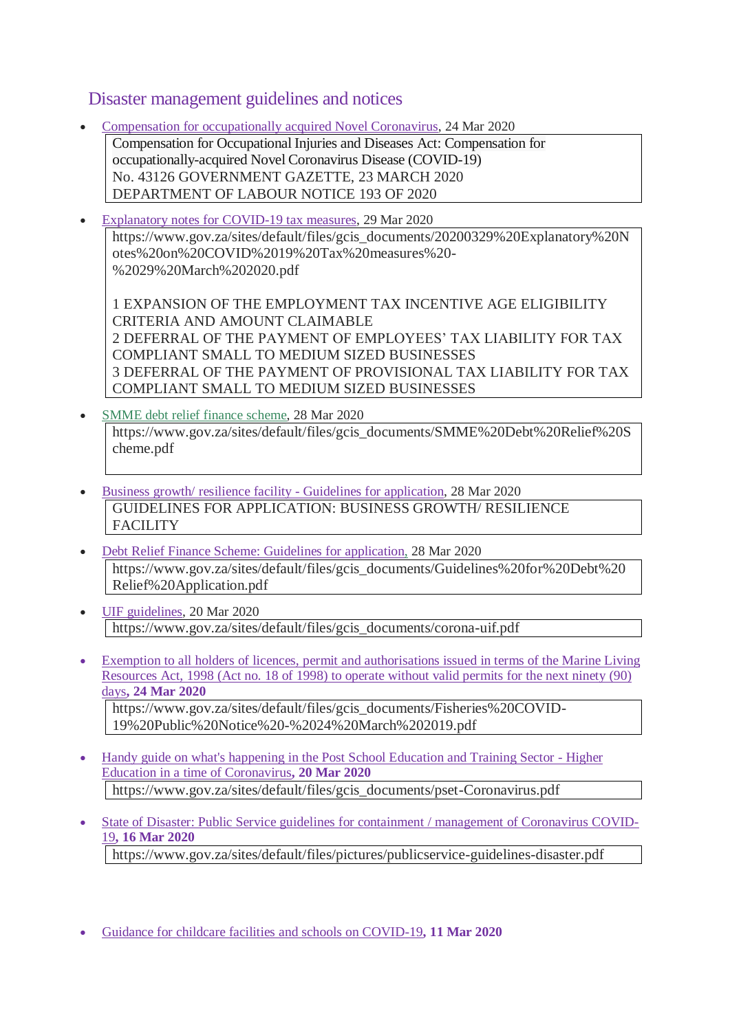#### Disaster management guidelines and notices

- Compensation for [occupationally](http://www.gov.za/documents/compensation-occupational-injuries-and-diseases-act-compensation-occupationally-acquired-0) acquired Novel Coronavirus, 24 Mar 2020 Compensation for Occupational Injuries and Diseases Act: Compensation for occupationally-acquired Novel Coronavirus Disease (COVID-19) No. 43126 GOVERNMENT GAZETTE, 23 MARCH 2020 DEPARTMENT OF LABOUR NOTICE 193 OF 2020
- [Explanatory](https://www.gov.za/sites/default/files/gcis_documents/20200329%20Explanatory%20Notes%20on%20COVID%2019%20Tax%20measures%20-%2029%20March%202020.pdf) notes for COVID-19 tax measures, 29 Mar 2020 https://www.gov.za/sites/default/files/gcis\_documents/20200329%20Explanatory%20N otes%20on%20COVID%2019%20Tax%20measures%20- %2029%20March%202020.pdf

1 EXPANSION OF THE EMPLOYMENT TAX INCENTIVE AGE ELIGIBILITY CRITERIA AND AMOUNT CLAIMABLE 2 DEFERRAL OF THE PAYMENT OF EMPLOYEES' TAX LIABILITY FOR TAX COMPLIANT SMALL TO MEDIUM SIZED BUSINESSES 3 DEFERRAL OF THE PAYMENT OF PROVISIONAL TAX LIABILITY FOR TAX COMPLIANT SMALL TO MEDIUM SIZED BUSINESSES

- SMME debt relief finance [scheme,](https://www.gov.za/sites/default/files/gcis_documents/SMME%20Debt%20Relief%20Scheme.pdf) 28 Mar 2020 https://www.gov.za/sites/default/files/gcis\_documents/SMME%20Debt%20Relief%20S cheme.pdf
- Business growth/ resilience facility Guidelines for [application,](https://www.gov.za/sites/default/files/gcis_documents/Guidelines%20for%20Business%20Growth%20Resilience%20Facility%20Application%20%2028%20March.._.pdf) 28 Mar 2020 GUIDELINES FOR APPLICATION: BUSINESS GROWTH/ RESILIENCE FACILITY
- Debt Relief Finance Scheme: Guidelines for [application,](https://www.gov.za/sites/default/files/gcis_documents/Guidelines%20for%20Debt%20Relief%20Application.pdf) 28 Mar 2020 https://www.gov.za/sites/default/files/gcis\_documents/Guidelines%20for%20Debt%20 Relief%20Application.pdf
- UIF [guidelines,](https://www.gov.za/sites/default/files/gcis_documents/corona-uif.pdf) 20 Mar 2020 https://www.gov.za/sites/default/files/gcis\_documents/corona-uif.pdf
- Exemption to all holders of licences, permit and [authorisations](https://www.gov.za/sites/default/files/gcis_documents/Fisheries%20COVID-19%20Public%20Notice%20-%2024%20March%202019.pdf) issued in terms of the Marine Living [Resources](https://www.gov.za/sites/default/files/gcis_documents/Fisheries%20COVID-19%20Public%20Notice%20-%2024%20March%202019.pdf) Act, 1998 (Act no. 18 of 1998) to operate without valid permits for the next ninety (90) [days](https://www.gov.za/sites/default/files/gcis_documents/Fisheries%20COVID-19%20Public%20Notice%20-%2024%20March%202019.pdf)**, 24 Mar 2020** https://www.gov.za/sites/default/files/gcis\_documents/Fisheries%20COVID-19%20Public%20Notice%20-%2024%20March%202019.pdf
- Handy guide on what's [happening](https://www.gov.za/sites/default/files/gcis_documents/pset-Coronavirus.pdf) in the Post School Education and Training Sector Higher Education in a time of [Coronavirus](https://www.gov.za/sites/default/files/gcis_documents/pset-Coronavirus.pdf)**, 20 Mar 2020** https://www.gov.za/sites/default/files/gcis\_documents/pset-Coronavirus.pdf
- State of Disaster: Public Service guidelines for containment / [management](https://www.gov.za/sites/default/files/pictures/publicservice-guidelines-disaster.pdf) of Coronavirus COVID-[19](https://www.gov.za/sites/default/files/pictures/publicservice-guidelines-disaster.pdf)**, 16 Mar 2020** https://www.gov.za/sites/default/files/pictures/publicservice-guidelines-disaster.pdf
- Guidance for childcare facilities and schools on [COVID-19](https://www.gov.za/sites/default/files/gcis_documents/childcare.pdf)**, 11 Mar 2020**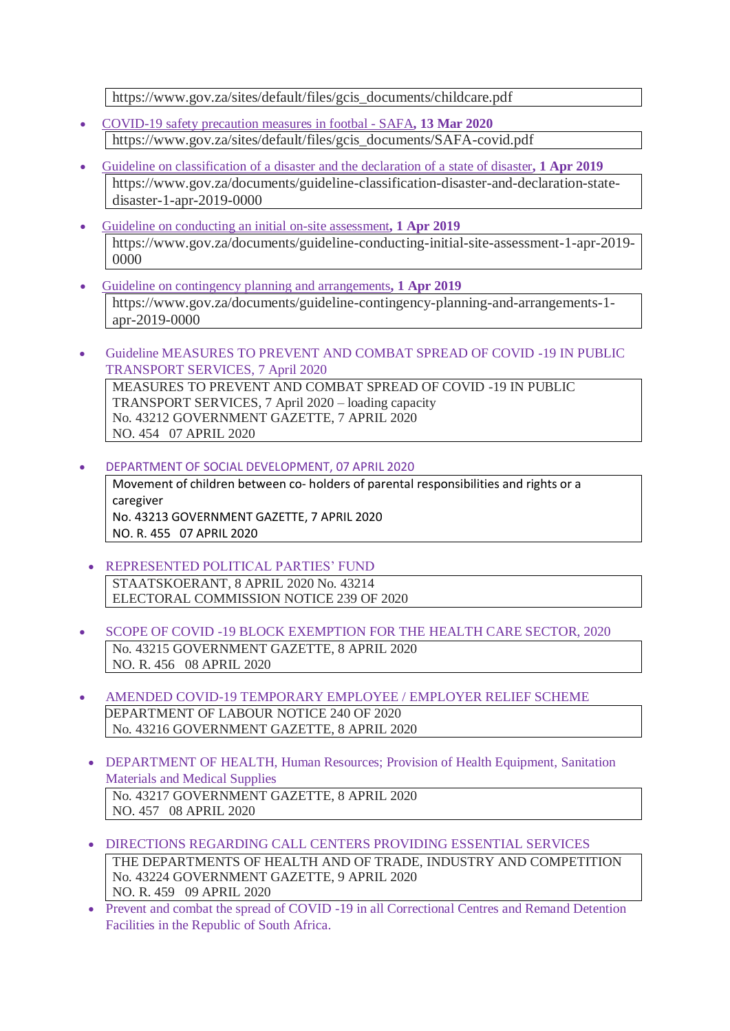https://www.gov.za/sites/default/files/gcis\_documents/childcare.pdf

- [COVID-19](https://www.gov.za/sites/default/files/gcis_documents/SAFA-covid.pdf) safety precaution measures in footbal SAFA**, 13 Mar 2020** https://www.gov.za/sites/default/files/gcis\_documents/SAFA-covid.pdf
- Guideline on [classification](https://www.gov.za/documents/guideline-classification-disaster-and-declaration-state-disaster-1-apr-2019-0000) of a disaster and the declaration of a state of disaster**, 1 Apr 2019** https://www.gov.za/documents/guideline-classification-disaster-and-declaration-statedisaster-1-apr-2019-0000
- Guideline on [conducting](https://www.gov.za/documents/guideline-conducting-initial-site-assessment-1-apr-2019-0000) an initial on-site assessment**, 1 Apr 2019** https://www.gov.za/documents/guideline-conducting-initial-site-assessment-1-apr-2019- 0000
- Guideline on contingency planning and [arrangements](https://www.gov.za/documents/guideline-contingency-planning-and-arrangements-1-apr-2019-0000)**, 1 Apr 2019** https://www.gov.za/documents/guideline-contingency-planning-and-arrangements-1 apr-2019-0000
- Guideline MEASURES TO PREVENT AND COMBAT SPREAD OF COVID -19 IN PUBLIC TRANSPORT SERVICES, 7 April 2020

MEASURES TO PREVENT AND COMBAT SPREAD OF COVID -19 IN PUBLIC TRANSPORT SERVICES, 7 April 2020 – loading capacity No. 43212 GOVERNMENT GAZETTE, 7 APRIL 2020 NO. 454 07 APRIL 2020

DEPARTMENT OF SOCIAL DEVELOPMENT, 07 APRIL 2020

Movement of children between co- holders of parental responsibilities and rights or a caregiver No. 43213 GOVERNMENT GAZETTE, 7 APRIL 2020 NO. R. 455 07 APRIL 2020

- REPRESENTED POLITICAL PARTIES' FUND STAATSKOERANT, 8 APRIL 2020 No. 43214 ELECTORAL COMMISSION NOTICE 239 OF 2020
- SCOPE OF COVID -19 BLOCK EXEMPTION FOR THE HEALTH CARE SECTOR, 2020 No. 43215 GOVERNMENT GAZETTE, 8 APRIL 2020 NO. R. 456 08 APRIL 2020
- AMENDED COVID-19 TEMPORARY EMPLOYEE / EMPLOYER RELIEF SCHEME DEPARTMENT OF LABOUR NOTICE 240 OF 2020 No. 43216 GOVERNMENT GAZETTE, 8 APRIL 2020
- DEPARTMENT OF HEALTH, Human Resources; Provision of Health Equipment, Sanitation Materials and Medical Supplies No. 43217 GOVERNMENT GAZETTE, 8 APRIL 2020 NO. 457 08 APRIL 2020
- DIRECTIONS REGARDING CALL CENTERS PROVIDING ESSENTIAL SERVICES THE DEPARTMENTS OF HEALTH AND OF TRADE, INDUSTRY AND COMPETITION No. 43224 GOVERNMENT GAZETTE, 9 APRIL 2020 NO. R. 459 09 APRIL 2020
- Prevent and combat the spread of COVID -19 in all Correctional Centres and Remand Detention Facilities in the Republic of South Africa.